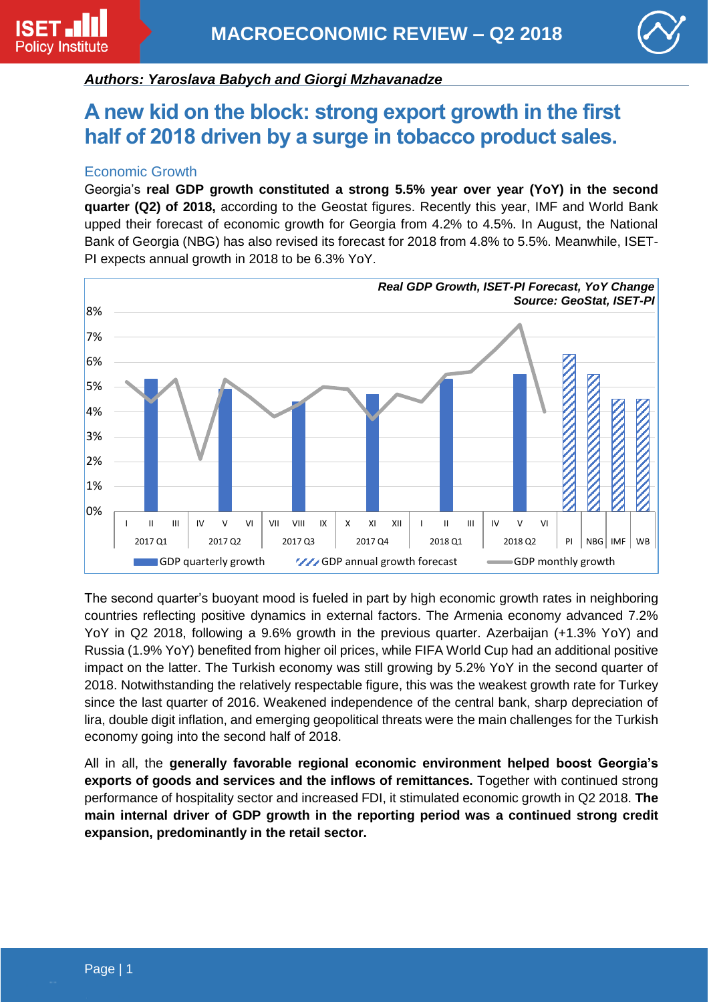

## *Authors: Yaroslava Babych and Giorgi Mzhavanadze*

# **A new kid on the block: strong export growth in the first half of 2018 driven by a surge in tobacco product sales.**

### Economic Growth

Georgia's **real GDP growth constituted a strong 5.5% year over year (YoY) in the second quarter (Q2) of 2018,** according to the Geostat figures. Recently this year, IMF and World Bank upped their forecast of economic growth for Georgia from 4.2% to 4.5%. In August, the National Bank of Georgia (NBG) has also revised its forecast for 2018 from 4.8% to 5.5%. Meanwhile, ISET-PI expects annual growth in 2018 to be 6.3% YoY.



The second quarter's buoyant mood is fueled in part by high economic growth rates in neighboring countries reflecting positive dynamics in external factors. The Armenia economy advanced 7.2% YoY in Q2 2018, following a 9.6% growth in the previous quarter. Azerbaijan (+1.3% YoY) and Russia (1.9% YoY) benefited from higher oil prices, while FIFA World Cup had an additional positive impact on the latter. The Turkish economy was still growing by 5.2% YoY in the second quarter of 2018. Notwithstanding the relatively respectable figure, this was the weakest growth rate for Turkey since the last quarter of 2016. Weakened independence of the central bank, sharp depreciation of lira, double digit inflation, and emerging geopolitical threats were the main challenges for the Turkish economy going into the second half of 2018.

All in all, the **generally favorable regional economic environment helped boost Georgia's exports of goods and services and the inflows of remittances.** Together with continued strong performance of hospitality sector and increased FDI, it stimulated economic growth in Q2 2018. **The main internal driver of GDP growth in the reporting period was a continued strong credit expansion, predominantly in the retail sector.**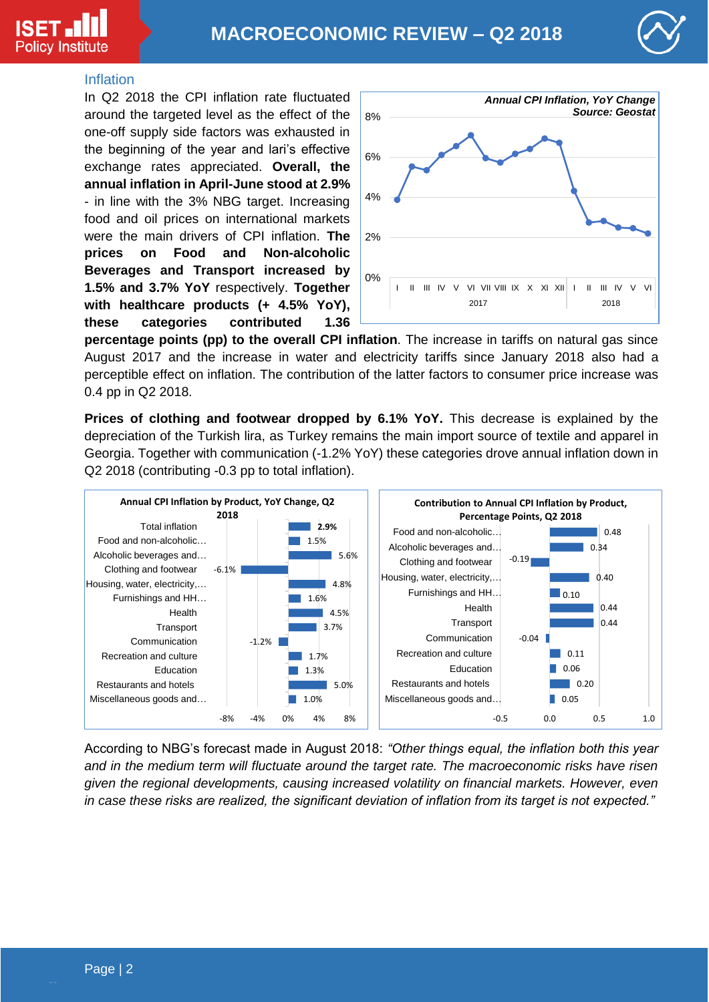



#### Inflation

In Q2 2018 the CPI inflation rate fluctuated around the targeted level as the effect of the one-off supply side factors was exhausted in the beginning of the year and lari's effective exchange rates appreciated. **Overall, the annual inflation in April-June stood at 2.9%**  - in line with the 3% NBG target. Increasing food and oil prices on international markets were the main drivers of CPI inflation. **The prices on Food and Non-alcoholic Beverages and Transport increased by 1.5% and 3.7% YoY** respectively. **Together with healthcare products (+ 4.5% YoY), these categories contributed 1.36** 



**percentage points (pp) to the overall CPI inflation**. The increase in tariffs on natural gas since August 2017 and the increase in water and electricity tariffs since January 2018 also had a perceptible effect on inflation. The contribution of the latter factors to consumer price increase was 0.4 pp in Q2 2018.

**Prices of clothing and footwear dropped by 6.1% YoY.** This decrease is explained by the depreciation of the Turkish lira, as Turkey remains the main import source of textile and apparel in Georgia. Together with communication (-1.2% YoY) these categories drove annual inflation down in Q2 2018 (contributing -0.3 pp to total inflation).



According to NBG's forecast made in August 2018: *"Other things equal, the inflation both this year and in the medium term will fluctuate around the target rate. The macroeconomic risks have risen given the regional developments, causing increased volatility on financial markets. However, even in case these risks are realized, the significant deviation of inflation from its target is not expected."*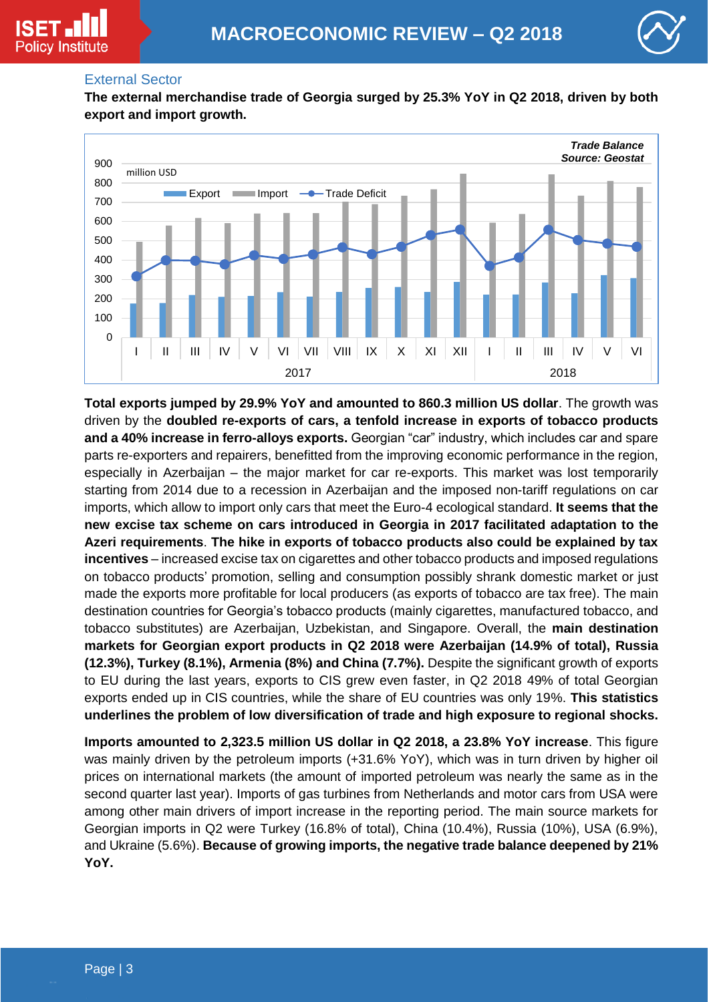



#### External Sector

**The external merchandise trade of Georgia surged by 25.3% YoY in Q2 2018, driven by both export and import growth.**



**Total exports jumped by 29.9% YoY and amounted to 860.3 million US dollar**. The growth was driven by the **doubled re-exports of cars, a tenfold increase in exports of tobacco products and a 40% increase in ferro-alloys exports.** Georgian "car" industry, which includes car and spare parts re-exporters and repairers, benefitted from the improving economic performance in the region, especially in Azerbaijan – the major market for car re-exports. This market was lost temporarily starting from 2014 due to a recession in Azerbaijan and the imposed non-tariff regulations on car imports, which allow to import only cars that meet the Euro-4 ecological standard. **It seems that the new excise tax scheme on cars introduced in Georgia in 2017 facilitated adaptation to the Azeri requirements**. **The hike in exports of tobacco products also could be explained by tax incentives** – increased excise tax on cigarettes and other tobacco products and imposed regulations on tobacco products' promotion, selling and consumption possibly shrank domestic market or just made the exports more profitable for local producers (as exports of tobacco are tax free). The main destination countries for Georgia's tobacco products (mainly cigarettes, manufactured tobacco, and tobacco substitutes) are Azerbaijan, Uzbekistan, and Singapore. Overall, the **main destination markets for Georgian export products in Q2 2018 were Azerbaijan (14.9% of total), Russia (12.3%), Turkey (8.1%), Armenia (8%) and China (7.7%).** Despite the significant growth of exports to EU during the last years, exports to CIS grew even faster, in Q2 2018 49% of total Georgian exports ended up in CIS countries, while the share of EU countries was only 19%. **This statistics underlines the problem of low diversification of trade and high exposure to regional shocks.**

**Imports amounted to 2,323.5 million US dollar in Q2 2018, a 23.8% YoY increase**. This figure was mainly driven by the petroleum imports (+31.6% YoY), which was in turn driven by higher oil prices on international markets (the amount of imported petroleum was nearly the same as in the second quarter last year). Imports of gas turbines from Netherlands and motor cars from USA were among other main drivers of import increase in the reporting period. The main source markets for Georgian imports in Q2 were Turkey (16.8% of total), China (10.4%), Russia (10%), USA (6.9%), and Ukraine (5.6%). **Because of growing imports, the negative trade balance deepened by 21% YoY.**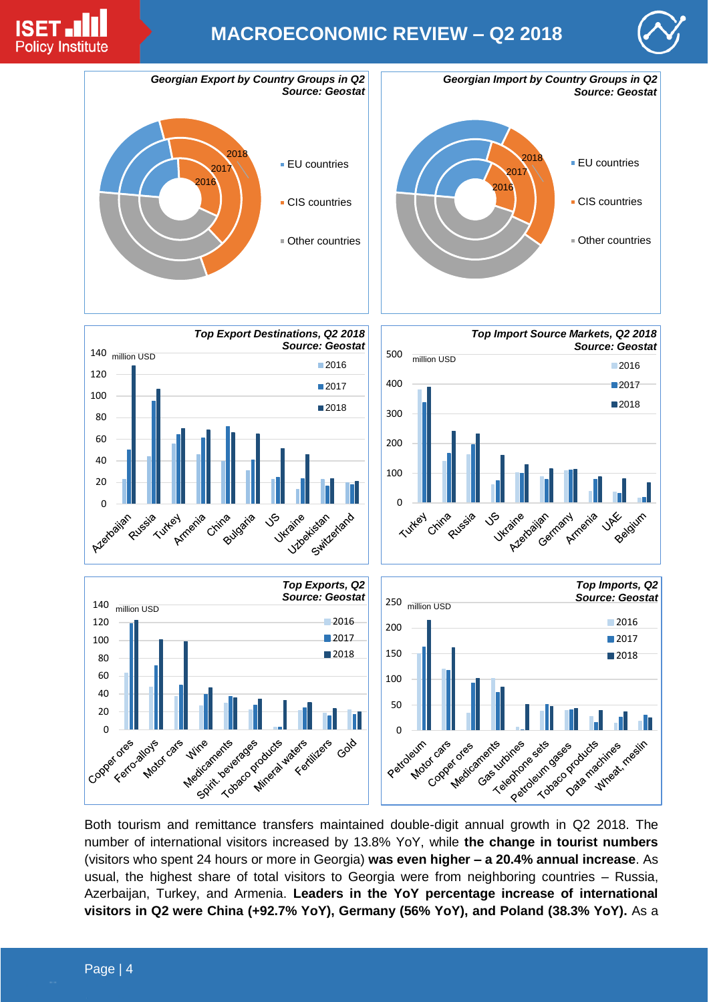

# **MACROECONOMIC REVIEW – Q2 2018**





Both tourism and remittance transfers maintained double-digit annual growth in Q2 2018. The number of international visitors increased by 13.8% YoY, while **the change in tourist numbers** (visitors who spent 24 hours or more in Georgia) **was even higher – a 20.4% annual increase**. As usual, the highest share of total visitors to Georgia were from neighboring countries – Russia, Azerbaijan, Turkey, and Armenia. **Leaders in the YoY percentage increase of international visitors in Q2 were China (+92.7% YoY), Germany (56% YoY), and Poland (38.3% YoY).** As a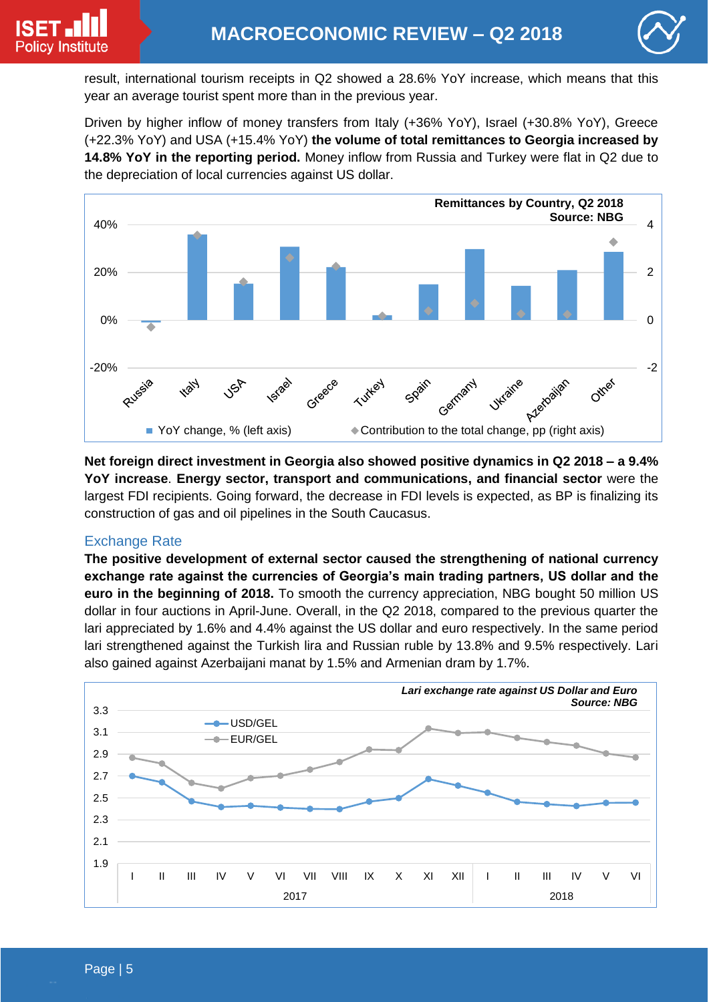

result, international tourism receipts in Q2 showed a 28.6% YoY increase, which means that this year an average tourist spent more than in the previous year.

Driven by higher inflow of money transfers from Italy (+36% YoY), Israel (+30.8% YoY), Greece (+22.3% YoY) and USA (+15.4% YoY) **the volume of total remittances to Georgia increased by 14.8% YoY in the reporting period.** Money inflow from Russia and Turkey were flat in Q2 due to the depreciation of local currencies against US dollar.



**Net foreign direct investment in Georgia also showed positive dynamics in Q2 2018 – a 9.4% YoY increase**. **Energy sector, transport and communications, and financial sector** were the largest FDI recipients. Going forward, the decrease in FDI levels is expected, as BP is finalizing its construction of gas and oil pipelines in the South Caucasus.

## Exchange Rate

**The positive development of external sector caused the strengthening of national currency exchange rate against the currencies of Georgia's main trading partners, US dollar and the euro in the beginning of 2018.** To smooth the currency appreciation, NBG bought 50 million US dollar in four auctions in April-June. Overall, in the Q2 2018, compared to the previous quarter the lari appreciated by 1.6% and 4.4% against the US dollar and euro respectively. In the same period lari strengthened against the Turkish lira and Russian ruble by 13.8% and 9.5% respectively. Lari also gained against Azerbaijani manat by 1.5% and Armenian dram by 1.7%.

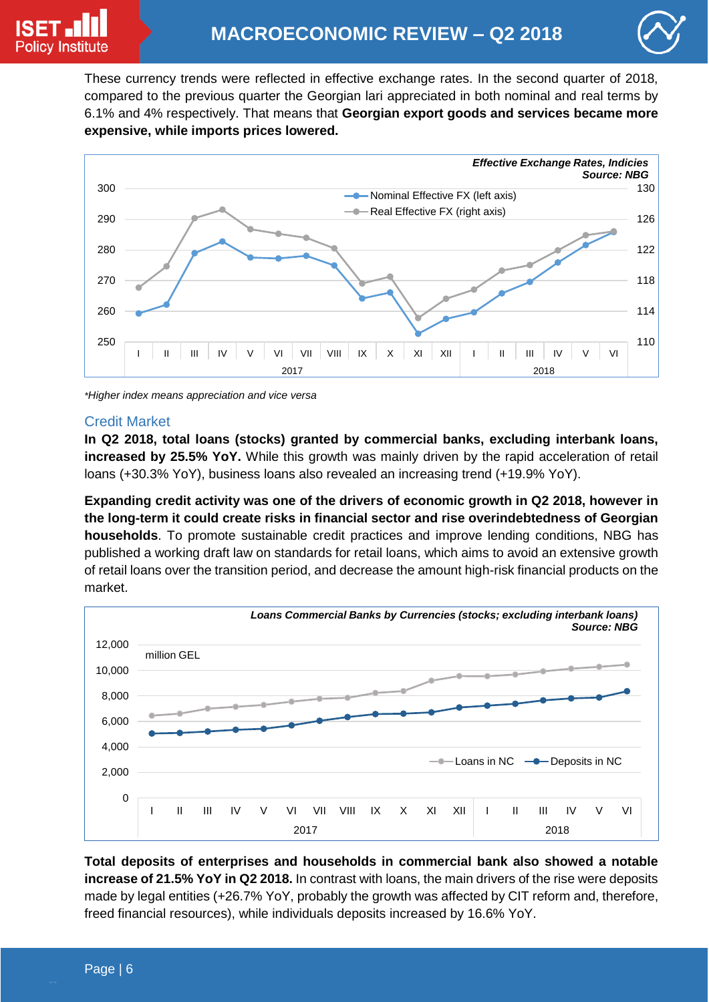

These currency trends were reflected in effective exchange rates. In the second quarter of 2018, compared to the previous quarter the Georgian lari appreciated in both nominal and real terms by 6.1% and 4% respectively. That means that **Georgian export goods and services became more expensive, while imports prices lowered.**



*\*Higher index means appreciation and vice versa* 

#### Credit Market

**In Q2 2018, total loans (stocks) granted by commercial banks, excluding interbank loans, increased by 25.5% YoY.** While this growth was mainly driven by the rapid acceleration of retail loans (+30.3% YoY), business loans also revealed an increasing trend (+19.9% YoY).

**Expanding credit activity was one of the drivers of economic growth in Q2 2018, however in the long-term it could create risks in financial sector and rise overindebtedness of Georgian households**. To promote sustainable credit practices and improve lending conditions, NBG has published a working draft law on standards for retail loans, which aims to avoid an extensive growth of retail loans over the transition period, and decrease the amount high-risk financial products on the market.



**Total deposits of enterprises and households in commercial bank also showed a notable increase of 21.5% YoY in Q2 2018.** In contrast with loans, the main drivers of the rise were deposits made by legal entities (+26.7% YoY, probably the growth was affected by CIT reform and, therefore, freed financial resources), while individuals deposits increased by 16.6% YoY.